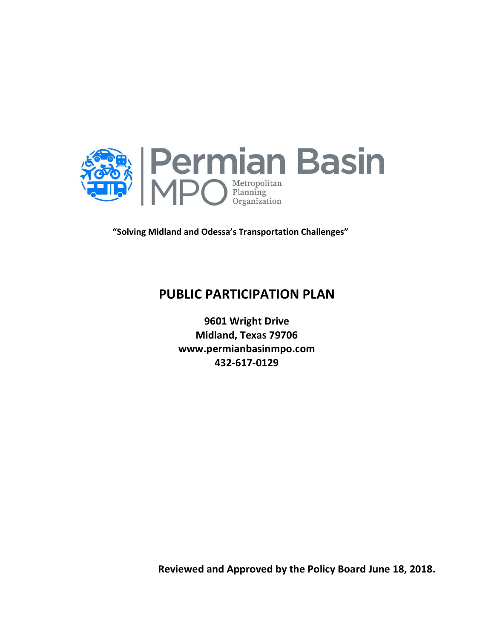

**"Solving Midland and Odessa's Transportation Challenges"**

# **PUBLIC PARTICIPATION PLAN**

**9601 Wright Drive Midland, Texas 79706 www.permianbasinmpo.com 432-617-0129**

**Reviewed and Approved by the Policy Board June 18, 2018.**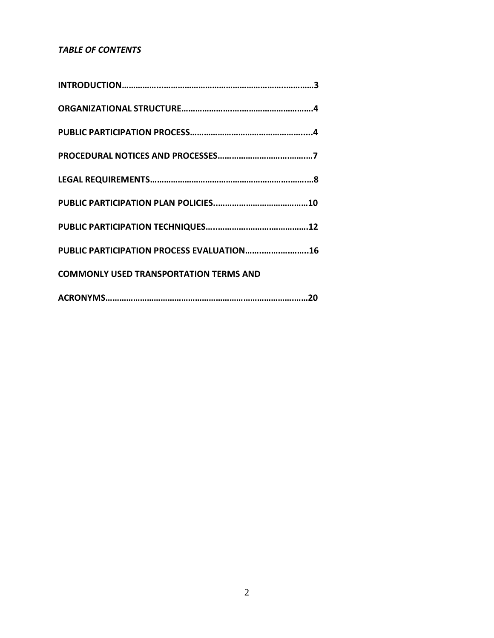## *TABLE OF CONTENTS*

| PUBLIC PARTICIPATION PROCESS EVALUATION16     |
|-----------------------------------------------|
| <b>COMMONLY USED TRANSPORTATION TERMS AND</b> |
|                                               |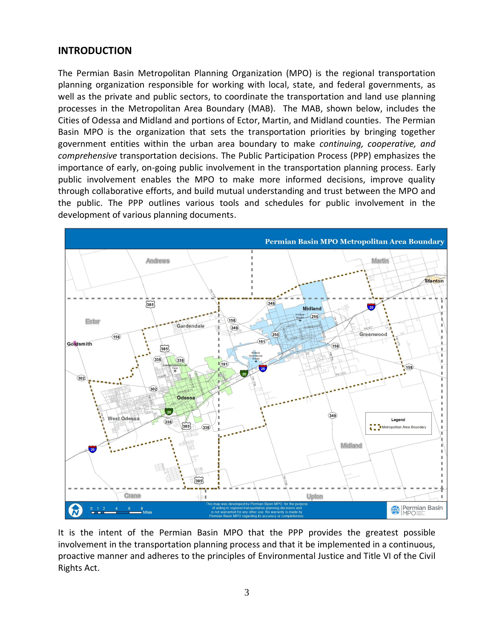## **INTRODUCTION**

The Permian Basin Metropolitan Planning Organization (MPO) is the regional transportation planning organization responsible for working with local, state, and federal governments, as well as the private and public sectors, to coordinate the transportation and land use planning processes in the Metropolitan Area Boundary (MAB). The MAB, shown below, includes the Cities of Odessa and Midland and portions of Ector, Martin, and Midland counties. The Permian Basin MPO is the organization that sets the transportation priorities by bringing together government entities within the urban area boundary to make *continuing, cooperative, and comprehensive* transportation decisions. The Public Participation Process (PPP) emphasizes the importance of early, on-going public involvement in the transportation planning process. Early public involvement enables the MPO to make more informed decisions, improve quality through collaborative efforts, and build mutual understanding and trust between the MPO and the public. The PPP outlines various tools and schedules for public involvement in the development of various planning documents.



It is the intent of the Permian Basin MPO that the PPP provides the greatest possible involvement in the transportation planning process and that it be implemented in a continuous, proactive manner and adheres to the principles of Environmental Justice and Title VI of the Civil Rights Act.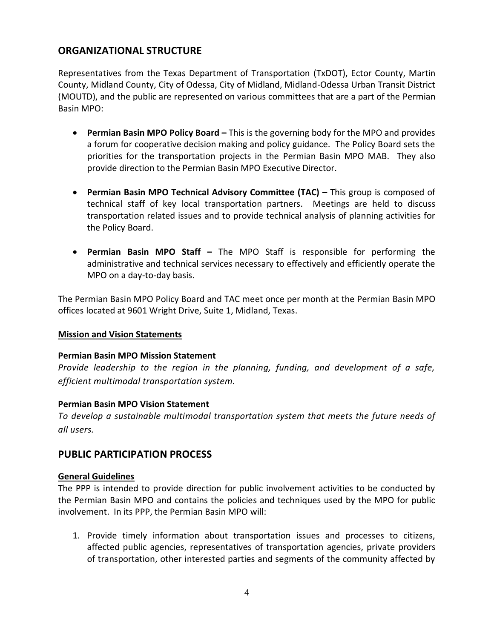# **ORGANIZATIONAL STRUCTURE**

Representatives from the Texas Department of Transportation (TxDOT), Ector County, Martin County, Midland County, City of Odessa, City of Midland, Midland-Odessa Urban Transit District (MOUTD), and the public are represented on various committees that are a part of the Permian Basin MPO:

- **Permian Basin MPO Policy Board –** This is the governing body for the MPO and provides a forum for cooperative decision making and policy guidance. The Policy Board sets the priorities for the transportation projects in the Permian Basin MPO MAB. They also provide direction to the Permian Basin MPO Executive Director.
- **Permian Basin MPO Technical Advisory Committee (TAC) –** This group is composed of technical staff of key local transportation partners. Meetings are held to discuss transportation related issues and to provide technical analysis of planning activities for the Policy Board.
- **Permian Basin MPO Staff –** The MPO Staff is responsible for performing the administrative and technical services necessary to effectively and efficiently operate the MPO on a day-to-day basis.

The Permian Basin MPO Policy Board and TAC meet once per month at the Permian Basin MPO offices located at 9601 Wright Drive, Suite 1, Midland, Texas.

## **Mission and Vision Statements**

#### **Permian Basin MPO Mission Statement**

*Provide leadership to the region in the planning, funding, and development of a safe, efficient multimodal transportation system.*

#### **Permian Basin MPO Vision Statement**

*To develop a sustainable multimodal transportation system that meets the future needs of all users.*

## **PUBLIC PARTICIPATION PROCESS**

## **General Guidelines**

The PPP is intended to provide direction for public involvement activities to be conducted by the Permian Basin MPO and contains the policies and techniques used by the MPO for public involvement. In its PPP, the Permian Basin MPO will:

1. Provide timely information about transportation issues and processes to citizens, affected public agencies, representatives of transportation agencies, private providers of transportation, other interested parties and segments of the community affected by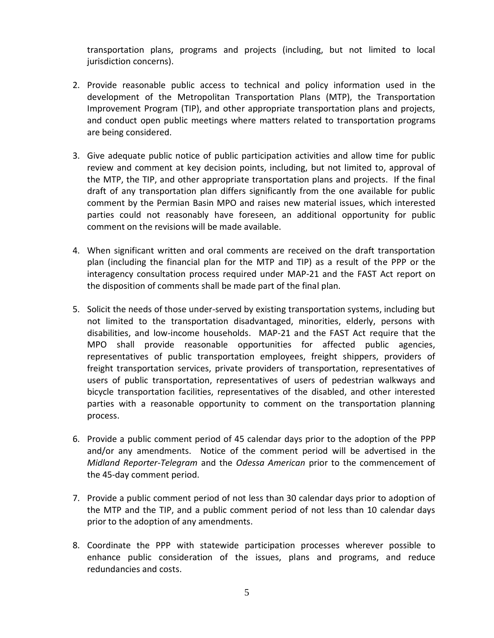transportation plans, programs and projects (including, but not limited to local jurisdiction concerns).

- 2. Provide reasonable public access to technical and policy information used in the development of the Metropolitan Transportation Plans (MTP), the Transportation Improvement Program (TIP), and other appropriate transportation plans and projects, and conduct open public meetings where matters related to transportation programs are being considered.
- 3. Give adequate public notice of public participation activities and allow time for public review and comment at key decision points, including, but not limited to, approval of the MTP, the TIP, and other appropriate transportation plans and projects. If the final draft of any transportation plan differs significantly from the one available for public comment by the Permian Basin MPO and raises new material issues, which interested parties could not reasonably have foreseen, an additional opportunity for public comment on the revisions will be made available.
- 4. When significant written and oral comments are received on the draft transportation plan (including the financial plan for the MTP and TIP) as a result of the PPP or the interagency consultation process required under MAP-21 and the FAST Act report on the disposition of comments shall be made part of the final plan.
- 5. Solicit the needs of those under-served by existing transportation systems, including but not limited to the transportation disadvantaged, minorities, elderly, persons with disabilities, and low-income households. MAP-21 and the FAST Act require that the MPO shall provide reasonable opportunities for affected public agencies, representatives of public transportation employees, freight shippers, providers of freight transportation services, private providers of transportation, representatives of users of public transportation, representatives of users of pedestrian walkways and bicycle transportation facilities, representatives of the disabled, and other interested parties with a reasonable opportunity to comment on the transportation planning process.
- 6. Provide a public comment period of 45 calendar days prior to the adoption of the PPP and/or any amendments. Notice of the comment period will be advertised in the *Midland Reporter-Telegram* and the *Odessa American* prior to the commencement of the 45-day comment period.
- 7. Provide a public comment period of not less than 30 calendar days prior to adoption of the MTP and the TIP, and a public comment period of not less than 10 calendar days prior to the adoption of any amendments.
- 8. Coordinate the PPP with statewide participation processes wherever possible to enhance public consideration of the issues, plans and programs, and reduce redundancies and costs.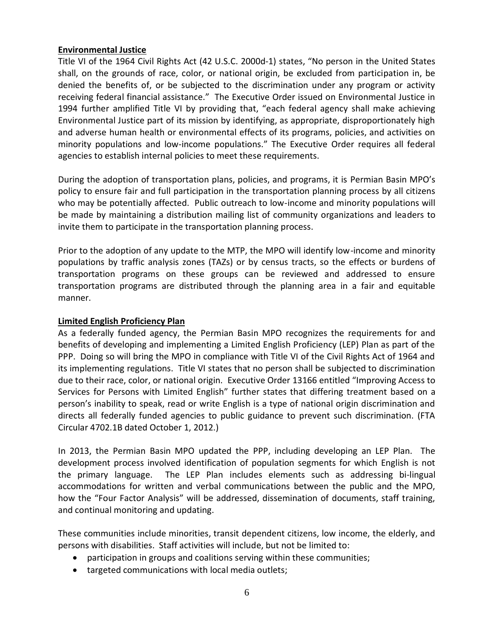#### **Environmental Justice**

Title VI of the 1964 Civil Rights Act (42 U.S.C. 2000d-1) states, "No person in the United States shall, on the grounds of race, color, or national origin, be excluded from participation in, be denied the benefits of, or be subjected to the discrimination under any program or activity receiving federal financial assistance." The Executive Order issued on Environmental Justice in 1994 further amplified Title VI by providing that, "each federal agency shall make achieving Environmental Justice part of its mission by identifying, as appropriate, disproportionately high and adverse human health or environmental effects of its programs, policies, and activities on minority populations and low-income populations." The Executive Order requires all federal agencies to establish internal policies to meet these requirements.

During the adoption of transportation plans, policies, and programs, it is Permian Basin MPO's policy to ensure fair and full participation in the transportation planning process by all citizens who may be potentially affected. Public outreach to low-income and minority populations will be made by maintaining a distribution mailing list of community organizations and leaders to invite them to participate in the transportation planning process.

Prior to the adoption of any update to the MTP, the MPO will identify low-income and minority populations by traffic analysis zones (TAZs) or by census tracts, so the effects or burdens of transportation programs on these groups can be reviewed and addressed to ensure transportation programs are distributed through the planning area in a fair and equitable manner.

#### **Limited English Proficiency Plan**

As a federally funded agency, the Permian Basin MPO recognizes the requirements for and benefits of developing and implementing a Limited English Proficiency (LEP) Plan as part of the PPP. Doing so will bring the MPO in compliance with Title VI of the Civil Rights Act of 1964 and its implementing regulations. Title VI states that no person shall be subjected to discrimination due to their race, color, or national origin. Executive Order 13166 entitled "Improving Access to Services for Persons with Limited English" further states that differing treatment based on a person's inability to speak, read or write English is a type of national origin discrimination and directs all federally funded agencies to public guidance to prevent such discrimination. (FTA Circular 4702.1B dated October 1, 2012.)

In 2013, the Permian Basin MPO updated the PPP, including developing an LEP Plan. The development process involved identification of population segments for which English is not the primary language. The LEP Plan includes elements such as addressing bi-lingual accommodations for written and verbal communications between the public and the MPO, how the "Four Factor Analysis" will be addressed, dissemination of documents, staff training, and continual monitoring and updating.

These communities include minorities, transit dependent citizens, low income, the elderly, and persons with disabilities. Staff activities will include, but not be limited to:

- participation in groups and coalitions serving within these communities;
- targeted communications with local media outlets;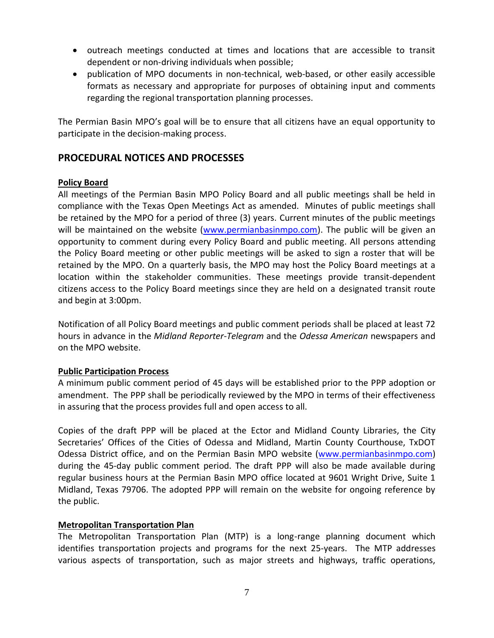- outreach meetings conducted at times and locations that are accessible to transit dependent or non-driving individuals when possible;
- publication of MPO documents in non-technical, web-based, or other easily accessible formats as necessary and appropriate for purposes of obtaining input and comments regarding the regional transportation planning processes.

The Permian Basin MPO's goal will be to ensure that all citizens have an equal opportunity to participate in the decision-making process.

# **PROCEDURAL NOTICES AND PROCESSES**

#### **Policy Board**

All meetings of the Permian Basin MPO Policy Board and all public meetings shall be held in compliance with the Texas Open Meetings Act as amended. Minutes of public meetings shall be retained by the MPO for a period of three (3) years. Current minutes of the public meetings will be maintained on the website [\(www.permianbasinmpo.com\)](http://www.permianbasinmpo.com/). The public will be given an opportunity to comment during every Policy Board and public meeting. All persons attending the Policy Board meeting or other public meetings will be asked to sign a roster that will be retained by the MPO. On a quarterly basis, the MPO may host the Policy Board meetings at a location within the stakeholder communities. These meetings provide transit-dependent citizens access to the Policy Board meetings since they are held on a designated transit route and begin at 3:00pm.

Notification of all Policy Board meetings and public comment periods shall be placed at least 72 hours in advance in the *Midland Reporter-Telegram* and the *Odessa American* newspapers and on the MPO website.

#### **Public Participation Process**

A minimum public comment period of 45 days will be established prior to the PPP adoption or amendment. The PPP shall be periodically reviewed by the MPO in terms of their effectiveness in assuring that the process provides full and open access to all.

Copies of the draft PPP will be placed at the Ector and Midland County Libraries, the City Secretaries' Offices of the Cities of Odessa and Midland, Martin County Courthouse, TxDOT Odessa District office, and on the Permian Basin MPO website [\(www.permianbasinmpo.com\)](http://www.permianbasinmpo.com/) during the 45-day public comment period. The draft PPP will also be made available during regular business hours at the Permian Basin MPO office located at 9601 Wright Drive, Suite 1 Midland, Texas 79706. The adopted PPP will remain on the website for ongoing reference by the public.

## **Metropolitan Transportation Plan**

The Metropolitan Transportation Plan (MTP) is a long-range planning document which identifies transportation projects and programs for the next 25-years. The MTP addresses various aspects of transportation, such as major streets and highways, traffic operations,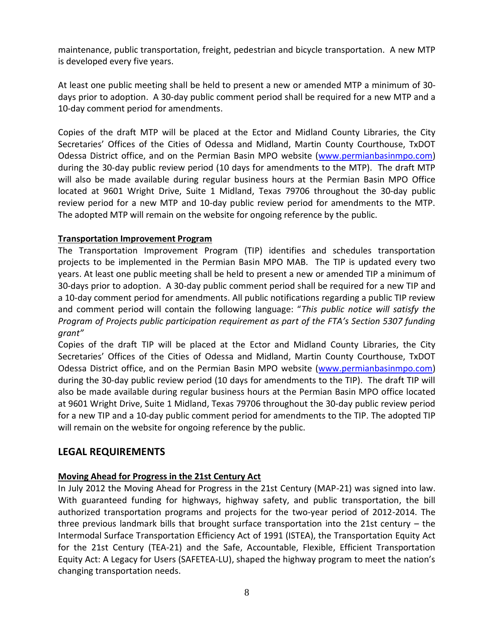maintenance, public transportation, freight, pedestrian and bicycle transportation. A new MTP is developed every five years.

At least one public meeting shall be held to present a new or amended MTP a minimum of 30 days prior to adoption. A 30-day public comment period shall be required for a new MTP and a 10-day comment period for amendments.

Copies of the draft MTP will be placed at the Ector and Midland County Libraries, the City Secretaries' Offices of the Cities of Odessa and Midland, Martin County Courthouse, TxDOT Odessa District office, and on the Permian Basin MPO website [\(www.permianbasinmpo.com\)](http://www.permianbasinmpo.com/) during the 30-day public review period (10 days for amendments to the MTP). The draft MTP will also be made available during regular business hours at the Permian Basin MPO Office located at 9601 Wright Drive, Suite 1 Midland, Texas 79706 throughout the 30-day public review period for a new MTP and 10-day public review period for amendments to the MTP. The adopted MTP will remain on the website for ongoing reference by the public.

#### **Transportation Improvement Program**

The Transportation Improvement Program (TIP) identifies and schedules transportation projects to be implemented in the Permian Basin MPO MAB. The TIP is updated every two years. At least one public meeting shall be held to present a new or amended TIP a minimum of 30-days prior to adoption. A 30-day public comment period shall be required for a new TIP and a 10-day comment period for amendments. All public notifications regarding a public TIP review and comment period will contain the following language: "*This public notice will satisfy the Program of Projects public participation requirement as part of the FTA's Section 5307 funding grant"*

Copies of the draft TIP will be placed at the Ector and Midland County Libraries, the City Secretaries' Offices of the Cities of Odessa and Midland, Martin County Courthouse, TxDOT Odessa District office, and on the Permian Basin MPO website [\(www.permianbasinmpo.com\)](http://www.permianbasinmpo.com/) during the 30-day public review period (10 days for amendments to the TIP). The draft TIP will also be made available during regular business hours at the Permian Basin MPO office located at 9601 Wright Drive, Suite 1 Midland, Texas 79706 throughout the 30-day public review period for a new TIP and a 10-day public comment period for amendments to the TIP. The adopted TIP will remain on the website for ongoing reference by the public.

## **LEGAL REQUIREMENTS**

## **Moving Ahead for Progress in the 21st Century Act**

In July 2012 the Moving Ahead for Progress in the 21st Century (MAP-21) was signed into law. With guaranteed funding for highways, highway safety, and public transportation, the bill authorized transportation programs and projects for the two-year period of 2012-2014. The three previous landmark bills that brought surface transportation into the 21st century – the Intermodal Surface Transportation Efficiency Act of 1991 (ISTEA), the Transportation Equity Act for the 21st Century (TEA-21) and the Safe, Accountable, Flexible, Efficient Transportation Equity Act: A Legacy for Users (SAFETEA-LU), shaped the highway program to meet the nation's changing transportation needs.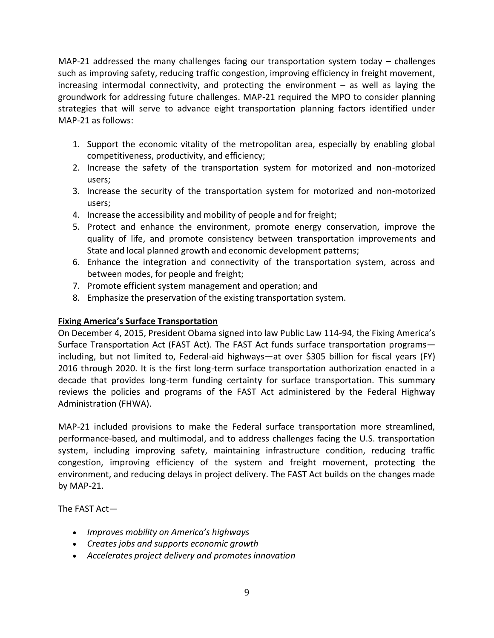MAP-21 addressed the many challenges facing our transportation system today – challenges such as improving safety, reducing traffic congestion, improving efficiency in freight movement, increasing intermodal connectivity, and protecting the environment – as well as laying the groundwork for addressing future challenges. MAP-21 required the MPO to consider planning strategies that will serve to advance eight transportation planning factors identified under MAP-21 as follows:

- 1. Support the economic vitality of the metropolitan area, especially by enabling global competitiveness, productivity, and efficiency;
- 2. Increase the safety of the transportation system for motorized and non-motorized users;
- 3. Increase the security of the transportation system for motorized and non-motorized users;
- 4. Increase the accessibility and mobility of people and for freight;
- 5. Protect and enhance the environment, promote energy conservation, improve the quality of life, and promote consistency between transportation improvements and State and local planned growth and economic development patterns;
- 6. Enhance the integration and connectivity of the transportation system, across and between modes, for people and freight;
- 7. Promote efficient system management and operation; and
- 8. Emphasize the preservation of the existing transportation system.

## **Fixing America's Surface Transportation**

On December 4, 2015, President Obama signed into law Public Law 114-94, the Fixing America's Surface Transportation Act (FAST Act). The FAST Act funds surface transportation programs including, but not limited to, Federal-aid highways—at over \$305 billion for fiscal years (FY) 2016 through 2020. It is the first long-term surface transportation authorization enacted in a decade that provides long-term funding certainty for surface transportation. This summary reviews the policies and programs of the FAST Act administered by the Federal Highway Administration (FHWA).

MAP-21 included provisions to make the Federal surface transportation more streamlined, performance-based, and multimodal, and to address challenges facing the U.S. transportation system, including improving safety, maintaining infrastructure condition, reducing traffic congestion, improving efficiency of the system and freight movement, protecting the environment, and reducing delays in project delivery. The FAST Act builds on the changes made by MAP-21.

The FAST Act—

- *Improves mobility on America's highways*
- *Creates jobs and supports economic growth*
- *Accelerates project delivery and promotes innovation*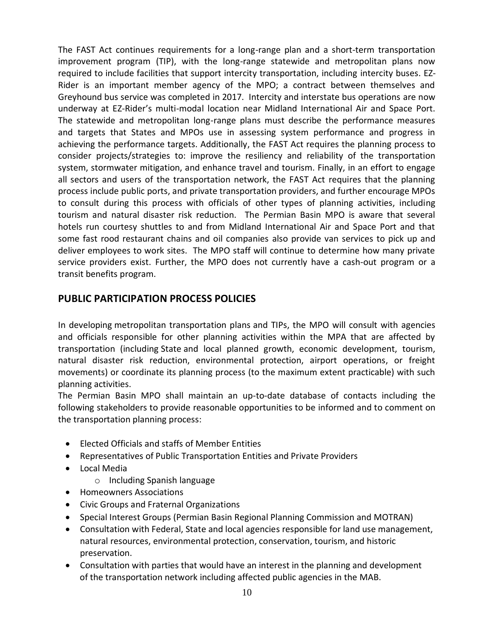The FAST Act continues requirements for a long-range plan and a short-term transportation improvement program (TIP), with the long-range statewide and metropolitan plans now required to include facilities that support intercity transportation, including intercity buses. EZ-Rider is an important member agency of the MPO; a contract between themselves and Greyhound bus service was completed in 2017. Intercity and interstate bus operations are now underway at EZ-Rider's multi-modal location near Midland International Air and Space Port. The statewide and metropolitan long-range plans must describe the performance measures and targets that States and MPOs use in assessing system performance and progress in achieving the performance targets. Additionally, the FAST Act requires the planning process to consider projects/strategies to: improve the resiliency and reliability of the transportation system, stormwater mitigation, and enhance travel and tourism. Finally, in an effort to engage all sectors and users of the transportation network, the FAST Act requires that the planning process include public ports, and private transportation providers, and further encourage MPOs to consult during this process with officials of other types of planning activities, including tourism and natural disaster risk reduction. The Permian Basin MPO is aware that several hotels run courtesy shuttles to and from Midland International Air and Space Port and that some fast rood restaurant chains and oil companies also provide van services to pick up and deliver employees to work sites. The MPO staff will continue to determine how many private service providers exist. Further, the MPO does not currently have a cash-out program or a transit benefits program.

# **PUBLIC PARTICIPATION PROCESS POLICIES**

In developing [metropolitan transportation plans](https://www.law.cornell.edu/definitions/index.php?width=840&height=800&iframe=true&def_id=309d339acf6728eae2a3736e53200d3e&term_occur=7&term_src=Title:23:Chapter:I:Subchapter:E:Part:450:Subpart:C:450.316) and TIPs, the MPO will consult with agencies and officials responsible for other planning activities within the MPA that are affected by transportation (including [State](https://www.law.cornell.edu/definitions/index.php?width=840&height=800&iframe=true&def_id=50d83bc36a57f1eab16c2b698164ef41&term_occur=1&term_src=Title:23:Chapter:I:Subchapter:E:Part:450:Subpart:C:450.316) and local planned growth, economic development, tourism, natural disaster risk reduction, environmental protection, airport operations, or freight movements) or coordinate its planning process (to the maximum extent practicable) with such planning activities.

The Permian Basin MPO shall maintain an up-to-date database of contacts including the following stakeholders to provide reasonable opportunities to be informed and to comment on the transportation planning process:

- Elected Officials and staffs of Member Entities
- Representatives of Public Transportation Entities and Private Providers
- Local Media
	- o Including Spanish language
- Homeowners Associations
- Civic Groups and Fraternal Organizations
- Special Interest Groups (Permian Basin Regional Planning Commission and MOTRAN)
- Consultation with Federal, State and local agencies responsible for land use management, natural resources, environmental protection, conservation, tourism, and historic preservation.
- Consultation with parties that would have an interest in the planning and development of the transportation network including affected public agencies in the MAB.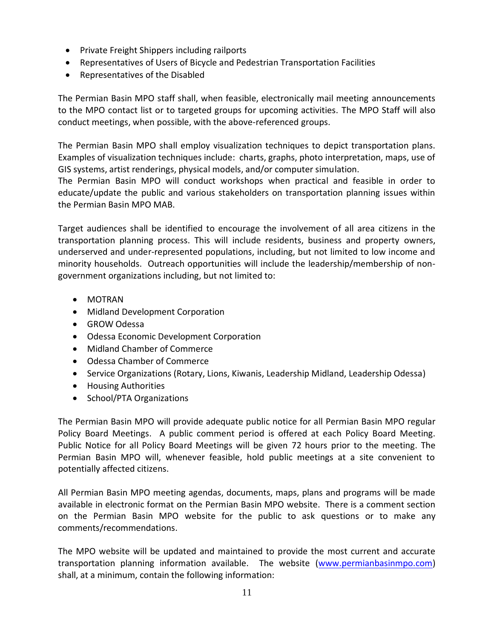- Private Freight Shippers including railports
- Representatives of Users of Bicycle and Pedestrian Transportation Facilities
- Representatives of the Disabled

The Permian Basin MPO staff shall, when feasible, electronically mail meeting announcements to the MPO contact list or to targeted groups for upcoming activities. The MPO Staff will also conduct meetings, when possible, with the above-referenced groups.

The Permian Basin MPO shall employ visualization techniques to depict transportation plans. Examples of visualization techniques include: charts, graphs, photo interpretation, maps, use of GIS systems, artist renderings, physical models, and/or computer simulation.

The Permian Basin MPO will conduct workshops when practical and feasible in order to educate/update the public and various stakeholders on transportation planning issues within the Permian Basin MPO MAB.

Target audiences shall be identified to encourage the involvement of all area citizens in the transportation planning process. This will include residents, business and property owners, underserved and under-represented populations, including, but not limited to low income and minority households. Outreach opportunities will include the leadership/membership of nongovernment organizations including, but not limited to:

- MOTRAN
- Midland Development Corporation
- GROW Odessa
- Odessa Economic Development Corporation
- Midland Chamber of Commerce
- Odessa Chamber of Commerce
- Service Organizations (Rotary, Lions, Kiwanis, Leadership Midland, Leadership Odessa)
- Housing Authorities
- School/PTA Organizations

The Permian Basin MPO will provide adequate public notice for all Permian Basin MPO regular Policy Board Meetings. A public comment period is offered at each Policy Board Meeting. Public Notice for all Policy Board Meetings will be given 72 hours prior to the meeting. The Permian Basin MPO will, whenever feasible, hold public meetings at a site convenient to potentially affected citizens.

All Permian Basin MPO meeting agendas, documents, maps, plans and programs will be made available in electronic format on the Permian Basin MPO website. There is a comment section on the Permian Basin MPO website for the public to ask questions or to make any comments/recommendations.

The MPO website will be updated and maintained to provide the most current and accurate transportation planning information available. The website [\(www.permianbasinmpo.com\)](http://www.permianbasinmpo.com/) shall, at a minimum, contain the following information: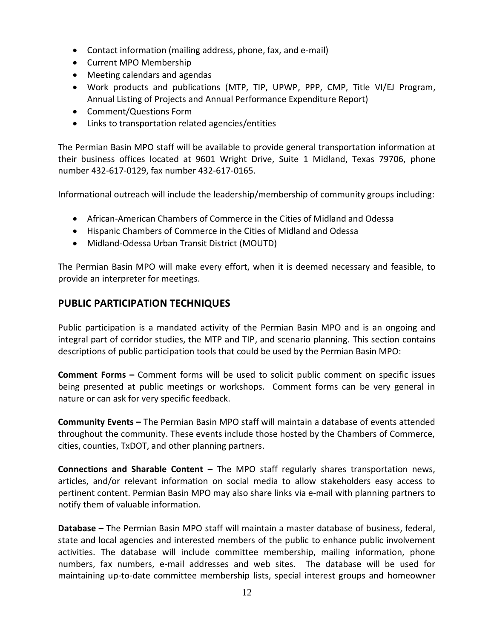- Contact information (mailing address, phone, fax, and e-mail)
- Current MPO Membership
- Meeting calendars and agendas
- Work products and publications (MTP, TIP, UPWP, PPP, CMP, Title VI/EJ Program, Annual Listing of Projects and Annual Performance Expenditure Report)
- Comment/Questions Form
- Links to transportation related agencies/entities

The Permian Basin MPO staff will be available to provide general transportation information at their business offices located at 9601 Wright Drive, Suite 1 Midland, Texas 79706, phone number 432-617-0129, fax number 432-617-0165.

Informational outreach will include the leadership/membership of community groups including:

- African-American Chambers of Commerce in the Cities of Midland and Odessa
- Hispanic Chambers of Commerce in the Cities of Midland and Odessa
- Midland-Odessa Urban Transit District (MOUTD)

The Permian Basin MPO will make every effort, when it is deemed necessary and feasible, to provide an interpreter for meetings.

# **PUBLIC PARTICIPATION TECHNIQUES**

Public participation is a mandated activity of the Permian Basin MPO and is an ongoing and integral part of corridor studies, the MTP and TIP, and scenario planning. This section contains descriptions of public participation tools that could be used by the Permian Basin MPO:

**Comment Forms –** Comment forms will be used to solicit public comment on specific issues being presented at public meetings or workshops. Comment forms can be very general in nature or can ask for very specific feedback.

**Community Events –** The Permian Basin MPO staff will maintain a database of events attended throughout the community. These events include those hosted by the Chambers of Commerce, cities, counties, TxDOT, and other planning partners.

**Connections and Sharable Content –** The MPO staff regularly shares transportation news, articles, and/or relevant information on social media to allow stakeholders easy access to pertinent content. Permian Basin MPO may also share links via e-mail with planning partners to notify them of valuable information.

**Database –** The Permian Basin MPO staff will maintain a master database of business, federal, state and local agencies and interested members of the public to enhance public involvement activities. The database will include committee membership, mailing information, phone numbers, fax numbers, e-mail addresses and web sites. The database will be used for maintaining up-to-date committee membership lists, special interest groups and homeowner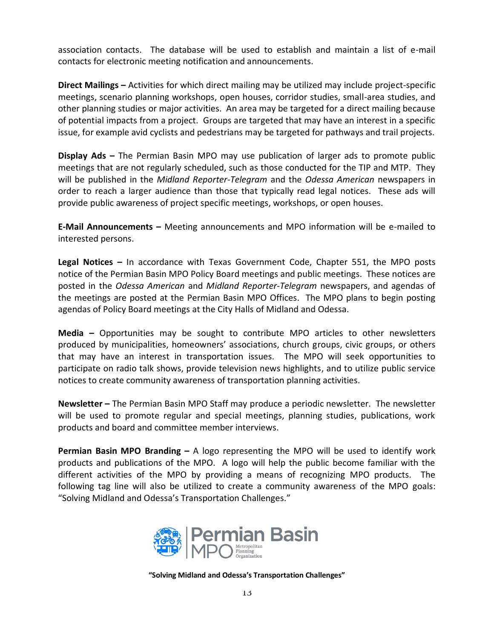association contacts. The database will be used to establish and maintain a list of e-mail contacts for electronic meeting notification and announcements.

**Direct Mailings –** Activities for which direct mailing may be utilized may include project-specific meetings, scenario planning workshops, open houses, corridor studies, small-area studies, and other planning studies or major activities. An area may be targeted for a direct mailing because of potential impacts from a project. Groups are targeted that may have an interest in a specific issue, for example avid cyclists and pedestrians may be targeted for pathways and trail projects.

**Display Ads –** The Permian Basin MPO may use publication of larger ads to promote public meetings that are not regularly scheduled, such as those conducted for the TIP and MTP. They will be published in the *Midland Reporter-Telegram* and the *Odessa American* newspapers in order to reach a larger audience than those that typically read legal notices. These ads will provide public awareness of project specific meetings, workshops, or open houses.

**E-Mail Announcements –** Meeting announcements and MPO information will be e-mailed to interested persons.

**Legal Notices –** In accordance with Texas Government Code, Chapter 551, the MPO posts notice of the Permian Basin MPO Policy Board meetings and public meetings. These notices are posted in the *Odessa American* and *Midland Reporter-Telegram* newspapers, and agendas of the meetings are posted at the Permian Basin MPO Offices. The MPO plans to begin posting agendas of Policy Board meetings at the City Halls of Midland and Odessa.

**Media –** Opportunities may be sought to contribute MPO articles to other newsletters produced by municipalities, homeowners' associations, church groups, civic groups, or others that may have an interest in transportation issues. The MPO will seek opportunities to participate on radio talk shows, provide television news highlights, and to utilize public service notices to create community awareness of transportation planning activities.

**Newsletter –** The Permian Basin MPO Staff may produce a periodic newsletter. The newsletter will be used to promote regular and special meetings, planning studies, publications, work products and board and committee member interviews.

**Permian Basin MPO Branding –** A logo representing the MPO will be used to identify work products and publications of the MPO. A logo will help the public become familiar with the different activities of the MPO by providing a means of recognizing MPO products. The following tag line will also be utilized to create a community awareness of the MPO goals: "Solving Midland and Odessa's Transportation Challenges."



**"Solving Midland and Odessa's Transportation Challenges"**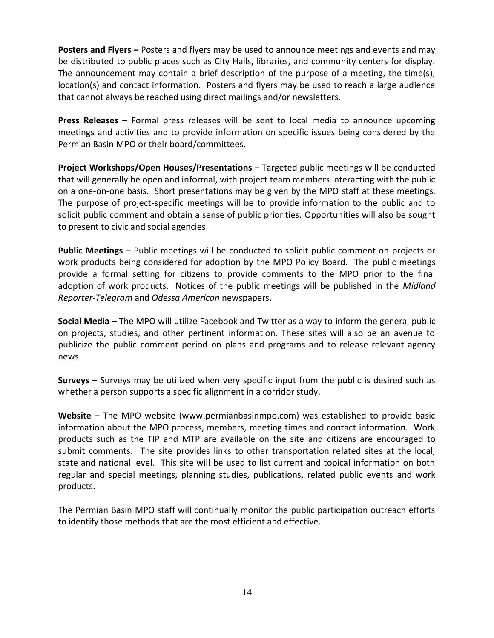**Posters and Flyers –** Posters and flyers may be used to announce meetings and events and may be distributed to public places such as City Halls, libraries, and community centers for display. The announcement may contain a brief description of the purpose of a meeting, the time(s), location(s) and contact information. Posters and flyers may be used to reach a large audience that cannot always be reached using direct mailings and/or newsletters.

**Press Releases –** Formal press releases will be sent to local media to announce upcoming meetings and activities and to provide information on specific issues being considered by the Permian Basin MPO or their board/committees.

**Project Workshops/Open Houses/Presentations –** Targeted public meetings will be conducted that will generally be open and informal, with project team members interacting with the public on a one-on-one basis. Short presentations may be given by the MPO staff at these meetings. The purpose of project-specific meetings will be to provide information to the public and to solicit public comment and obtain a sense of public priorities. Opportunities will also be sought to present to civic and social agencies.

**Public Meetings –** Public meetings will be conducted to solicit public comment on projects or work products being considered for adoption by the MPO Policy Board. The public meetings provide a formal setting for citizens to provide comments to the MPO prior to the final adoption of work products. Notices of the public meetings will be published in the *Midland Reporter-Telegram* and *Odessa American* newspapers.

**Social Media –** The MPO will utilize Facebook and Twitter as a way to inform the general public on projects, studies, and other pertinent information. These sites will also be an avenue to publicize the public comment period on plans and programs and to release relevant agency news.

**Surveys –** Surveys may be utilized when very specific input from the public is desired such as whether a person supports a specific alignment in a corridor study.

**Website –** The MPO website (www.permianbasinmpo.com) was established to provide basic information about the MPO process, members, meeting times and contact information. Work products such as the TIP and MTP are available on the site and citizens are encouraged to submit comments. The site provides links to other transportation related sites at the local, state and national level. This site will be used to list current and topical information on both regular and special meetings, planning studies, publications, related public events and work products.

The Permian Basin MPO staff will continually monitor the public participation outreach efforts to identify those methods that are the most efficient and effective.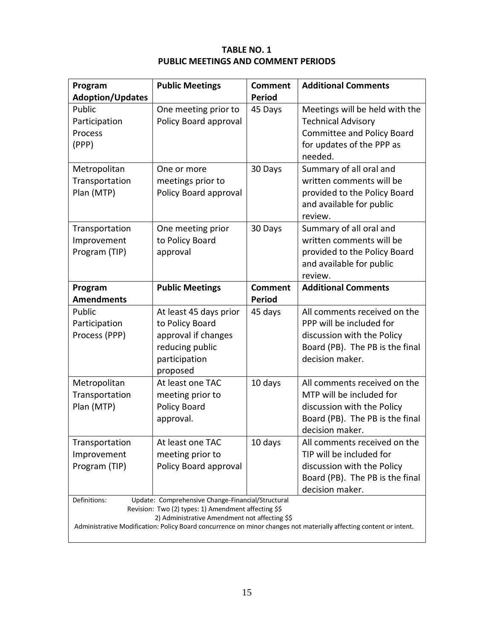# **TABLE NO. 1 PUBLIC MEETINGS AND COMMENT PERIODS**

| Program<br><b>Adoption/Updates</b>                                                                                                                                                                                                                                                                | <b>Public Meetings</b>                                                                                           | <b>Comment</b><br><b>Period</b> | <b>Additional Comments</b>                                                                                                                   |  |
|---------------------------------------------------------------------------------------------------------------------------------------------------------------------------------------------------------------------------------------------------------------------------------------------------|------------------------------------------------------------------------------------------------------------------|---------------------------------|----------------------------------------------------------------------------------------------------------------------------------------------|--|
| Public<br>Participation<br>Process<br>(PPP)                                                                                                                                                                                                                                                       | One meeting prior to<br>Policy Board approval                                                                    | 45 Days                         | Meetings will be held with the<br><b>Technical Advisory</b><br><b>Committee and Policy Board</b><br>for updates of the PPP as<br>needed.     |  |
| Metropolitan<br>Transportation<br>Plan (MTP)                                                                                                                                                                                                                                                      | One or more<br>meetings prior to<br>Policy Board approval                                                        | 30 Days                         | Summary of all oral and<br>written comments will be<br>provided to the Policy Board<br>and available for public<br>review.                   |  |
| Transportation<br>Improvement<br>Program (TIP)                                                                                                                                                                                                                                                    | One meeting prior<br>to Policy Board<br>approval                                                                 | 30 Days                         | Summary of all oral and<br>written comments will be<br>provided to the Policy Board<br>and available for public<br>review.                   |  |
| Program<br><b>Amendments</b>                                                                                                                                                                                                                                                                      | <b>Public Meetings</b>                                                                                           | <b>Comment</b><br><b>Period</b> | <b>Additional Comments</b>                                                                                                                   |  |
| Public<br>Participation<br>Process (PPP)                                                                                                                                                                                                                                                          | At least 45 days prior<br>to Policy Board<br>approval if changes<br>reducing public<br>participation<br>proposed | 45 days                         | All comments received on the<br>PPP will be included for<br>discussion with the Policy<br>Board (PB). The PB is the final<br>decision maker. |  |
| Metropolitan<br>Transportation<br>Plan (MTP)                                                                                                                                                                                                                                                      | At least one TAC<br>meeting prior to<br>Policy Board<br>approval.                                                | 10 days                         | All comments received on the<br>MTP will be included for<br>discussion with the Policy<br>Board (PB). The PB is the final<br>decision maker. |  |
| Transportation<br>Improvement<br>Program (TIP)                                                                                                                                                                                                                                                    | At least one TAC<br>meeting prior to<br>Policy Board approval                                                    | 10 days                         | All comments received on the<br>TIP will be included for<br>discussion with the Policy<br>Board (PB). The PB is the final<br>decision maker. |  |
| Definitions:<br>Update: Comprehensive Change-Financial/Structural<br>Revision: Two (2) types: 1) Amendment affecting \$\$<br>2) Administrative Amendment not affecting \$\$<br>Administrative Modification: Policy Board concurrence on minor changes not materially affecting content or intent. |                                                                                                                  |                                 |                                                                                                                                              |  |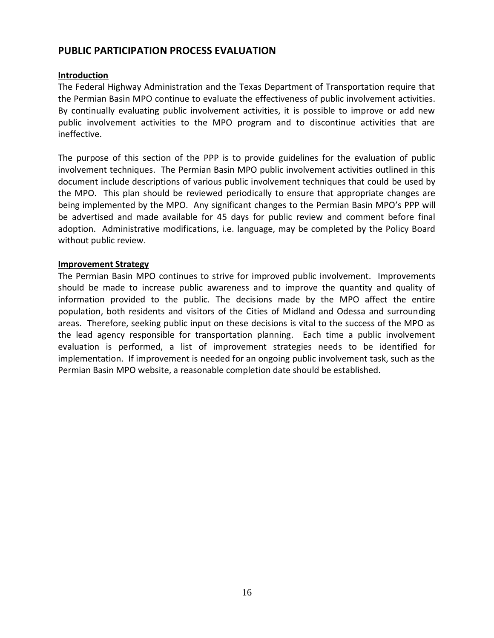# **PUBLIC PARTICIPATION PROCESS EVALUATION**

#### **Introduction**

The Federal Highway Administration and the Texas Department of Transportation require that the Permian Basin MPO continue to evaluate the effectiveness of public involvement activities. By continually evaluating public involvement activities, it is possible to improve or add new public involvement activities to the MPO program and to discontinue activities that are ineffective.

The purpose of this section of the PPP is to provide guidelines for the evaluation of public involvement techniques. The Permian Basin MPO public involvement activities outlined in this document include descriptions of various public involvement techniques that could be used by the MPO. This plan should be reviewed periodically to ensure that appropriate changes are being implemented by the MPO. Any significant changes to the Permian Basin MPO's PPP will be advertised and made available for 45 days for public review and comment before final adoption. Administrative modifications, i.e. language, may be completed by the Policy Board without public review.

#### **Improvement Strategy**

The Permian Basin MPO continues to strive for improved public involvement. Improvements should be made to increase public awareness and to improve the quantity and quality of information provided to the public. The decisions made by the MPO affect the entire population, both residents and visitors of the Cities of Midland and Odessa and surrounding areas. Therefore, seeking public input on these decisions is vital to the success of the MPO as the lead agency responsible for transportation planning. Each time a public involvement evaluation is performed, a list of improvement strategies needs to be identified for implementation. If improvement is needed for an ongoing public involvement task, such as the Permian Basin MPO website, a reasonable completion date should be established.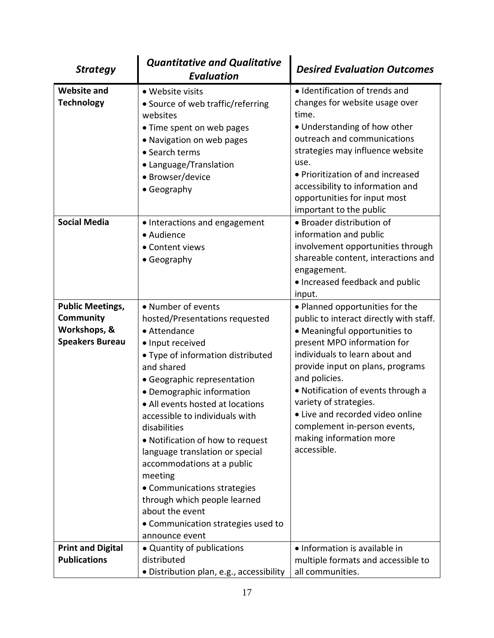| <b>Strategy</b>                                                                | <b>Quantitative and Qualitative</b><br><b>Evaluation</b>                                                                                                                                                                                                                                                                                                                                                                                                                                                                                                | <b>Desired Evaluation Outcomes</b>                                                                                                                                                                                                                                                                                                                                                                              |
|--------------------------------------------------------------------------------|---------------------------------------------------------------------------------------------------------------------------------------------------------------------------------------------------------------------------------------------------------------------------------------------------------------------------------------------------------------------------------------------------------------------------------------------------------------------------------------------------------------------------------------------------------|-----------------------------------------------------------------------------------------------------------------------------------------------------------------------------------------------------------------------------------------------------------------------------------------------------------------------------------------------------------------------------------------------------------------|
| <b>Website and</b><br><b>Technology</b>                                        | • Website visits<br>• Source of web traffic/referring<br>websites<br>• Time spent on web pages<br>• Navigation on web pages<br>• Search terms<br>• Language/Translation<br>• Browser/device<br>• Geography                                                                                                                                                                                                                                                                                                                                              | · Identification of trends and<br>changes for website usage over<br>time.<br>• Understanding of how other<br>outreach and communications<br>strategies may influence website<br>use.<br>• Prioritization of and increased<br>accessibility to information and<br>opportunities for input most<br>important to the public                                                                                        |
| <b>Social Media</b>                                                            | • Interactions and engagement<br>• Audience<br>• Content views<br>• Geography                                                                                                                                                                                                                                                                                                                                                                                                                                                                           | · Broader distribution of<br>information and public<br>involvement opportunities through<br>shareable content, interactions and<br>engagement.<br>• Increased feedback and public<br>input.                                                                                                                                                                                                                     |
| <b>Public Meetings,</b><br>Community<br>Workshops, &<br><b>Speakers Bureau</b> | • Number of events<br>hosted/Presentations requested<br>• Attendance<br>· Input received<br>• Type of information distributed<br>and shared<br>• Geographic representation<br>• Demographic information<br>• All events hosted at locations<br>accessible to individuals with<br>disabilities<br>• Notification of how to request<br>language translation or special<br>accommodations at a public<br>meeting<br>• Communications strategies<br>through which people learned<br>about the event<br>• Communication strategies used to<br>announce event | • Planned opportunities for the<br>public to interact directly with staff.<br>• Meaningful opportunities to<br>present MPO information for<br>individuals to learn about and<br>provide input on plans, programs<br>and policies.<br>• Notification of events through a<br>variety of strategies.<br>• Live and recorded video online<br>complement in-person events,<br>making information more<br>accessible. |
| <b>Print and Digital</b><br><b>Publications</b>                                | • Quantity of publications<br>distributed<br>· Distribution plan, e.g., accessibility                                                                                                                                                                                                                                                                                                                                                                                                                                                                   | · Information is available in<br>multiple formats and accessible to<br>all communities.                                                                                                                                                                                                                                                                                                                         |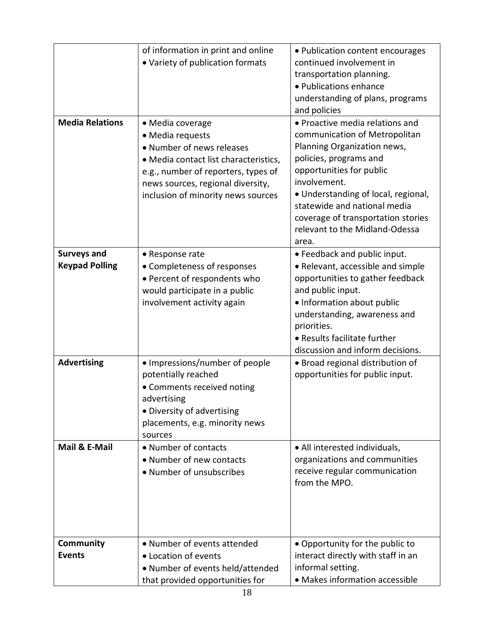|                        | of information in print and online    | • Publication content encourages            |
|------------------------|---------------------------------------|---------------------------------------------|
|                        | • Variety of publication formats      | continued involvement in                    |
|                        |                                       | transportation planning.                    |
|                        |                                       | • Publications enhance                      |
|                        |                                       | understanding of plans, programs            |
|                        |                                       | and policies                                |
| <b>Media Relations</b> | • Media coverage                      | • Proactive media relations and             |
|                        | • Media requests                      | communication of Metropolitan               |
|                        | • Number of news releases             | Planning Organization news,                 |
|                        | · Media contact list characteristics, | policies, programs and                      |
|                        | e.g., number of reporters, types of   | opportunities for public                    |
|                        | news sources, regional diversity,     | involvement.                                |
|                        | inclusion of minority news sources    | • Understanding of local, regional,         |
|                        |                                       | statewide and national media                |
|                        |                                       | coverage of transportation stories          |
|                        |                                       | relevant to the Midland-Odessa              |
|                        |                                       | area.                                       |
| <b>Surveys and</b>     | • Response rate                       | • Feedback and public input.                |
| <b>Keypad Polling</b>  | • Completeness of responses           | • Relevant, accessible and simple           |
|                        | • Percent of respondents who          | opportunities to gather feedback            |
|                        | would participate in a public         | and public input.                           |
|                        | involvement activity again            | • Information about public                  |
|                        |                                       | understanding, awareness and                |
|                        |                                       | priorities.<br>• Results facilitate further |
|                        |                                       | discussion and inform decisions.            |
| <b>Advertising</b>     | • Impressions/number of people        | • Broad regional distribution of            |
|                        | potentially reached                   | opportunities for public input.             |
|                        | • Comments received noting            |                                             |
|                        | advertising                           |                                             |
|                        | • Diversity of advertising            |                                             |
|                        | placements, e.g. minority news        |                                             |
|                        | sources                               |                                             |
| Mail & E-Mail          | • Number of contacts                  | • All interested individuals,               |
|                        | • Number of new contacts              | organizations and communities               |
|                        | • Number of unsubscribes              | receive regular communication               |
|                        |                                       | from the MPO.                               |
|                        |                                       |                                             |
|                        |                                       |                                             |
|                        |                                       |                                             |
|                        |                                       |                                             |
| <b>Community</b>       | • Number of events attended           | • Opportunity for the public to             |
| <b>Events</b>          | • Location of events                  | interact directly with staff in an          |
|                        | • Number of events held/attended      | informal setting.                           |
|                        | that provided opportunities for       | • Makes information accessible              |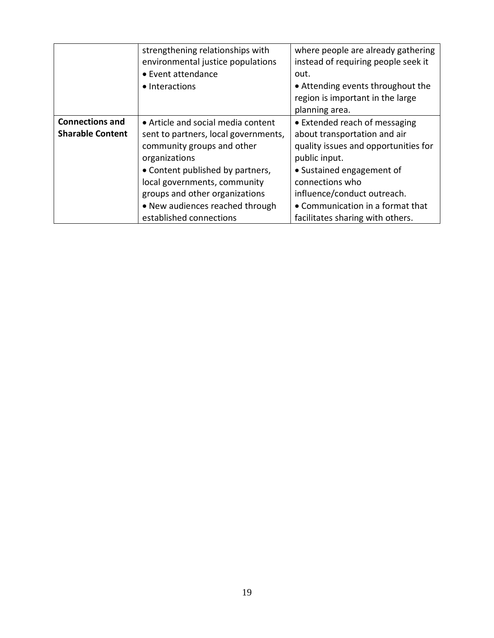|                         | strengthening relationships with<br>environmental justice populations<br>• Event attendance<br>• Interactions | where people are already gathering<br>instead of requiring people seek it<br>out.<br>• Attending events throughout the<br>region is important in the large<br>planning area. |
|-------------------------|---------------------------------------------------------------------------------------------------------------|------------------------------------------------------------------------------------------------------------------------------------------------------------------------------|
| <b>Connections and</b>  | • Article and social media content                                                                            | • Extended reach of messaging                                                                                                                                                |
| <b>Sharable Content</b> | sent to partners, local governments,                                                                          | about transportation and air                                                                                                                                                 |
|                         | community groups and other<br>organizations                                                                   | quality issues and opportunities for<br>public input.                                                                                                                        |
|                         | • Content published by partners,                                                                              | • Sustained engagement of                                                                                                                                                    |
|                         | local governments, community                                                                                  | connections who                                                                                                                                                              |
|                         | groups and other organizations                                                                                | influence/conduct outreach.                                                                                                                                                  |
|                         | • New audiences reached through                                                                               | • Communication in a format that                                                                                                                                             |
|                         | established connections                                                                                       | facilitates sharing with others.                                                                                                                                             |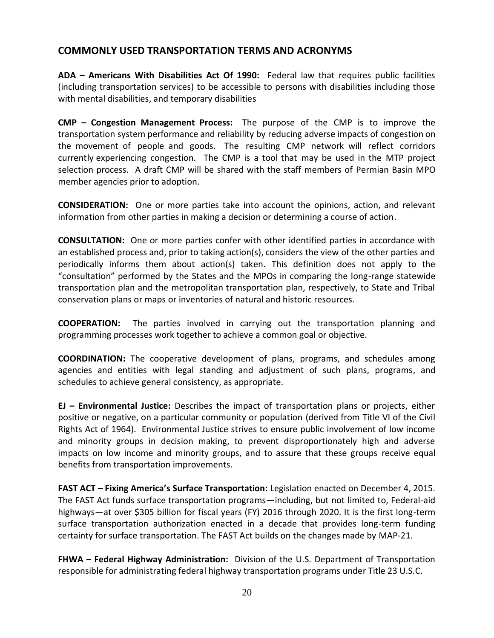# **COMMONLY USED TRANSPORTATION TERMS AND ACRONYMS**

**ADA – Americans With Disabilities Act Of 1990:** Federal law that requires public facilities (including transportation services) to be accessible to persons with disabilities including those with mental disabilities, and temporary disabilities

**CMP – Congestion Management Process:** The purpose of the CMP is to improve the transportation system performance and reliability by reducing adverse impacts of congestion on the movement of people and goods. The resulting CMP network will reflect corridors currently experiencing congestion. The CMP is a tool that may be used in the MTP project selection process. A draft CMP will be shared with the staff members of Permian Basin MPO member agencies prior to adoption.

**CONSIDERATION:** One or more parties take into account the opinions, action, and relevant information from other parties in making a decision or determining a course of action.

**CONSULTATION:** One or more parties confer with other identified parties in accordance with an established process and, prior to taking action(s), considers the view of the other parties and periodically informs them about action(s) taken. This definition does not apply to the "consultation" performed by the States and the MPOs in comparing the long-range statewide transportation plan and the metropolitan transportation plan, respectively, to State and Tribal conservation plans or maps or inventories of natural and historic resources.

**COOPERATION:** The parties involved in carrying out the transportation planning and programming processes work together to achieve a common goal or objective.

**COORDINATION:** The cooperative development of plans, programs, and schedules among agencies and entities with legal standing and adjustment of such plans, programs, and schedules to achieve general consistency, as appropriate.

**EJ – Environmental Justice:** Describes the impact of transportation plans or projects, either positive or negative, on a particular community or population (derived from Title VI of the Civil Rights Act of 1964). Environmental Justice strives to ensure public involvement of low income and minority groups in decision making, to prevent disproportionately high and adverse impacts on low income and minority groups, and to assure that these groups receive equal benefits from transportation improvements.

**FAST ACT – Fixing America's Surface Transportation:** Legislation enacted on December 4, 2015. The FAST Act funds surface transportation programs—including, but not limited to, Federal-aid highways—at over \$305 billion for fiscal years (FY) 2016 through 2020. It is the first long-term surface transportation authorization enacted in a decade that provides long-term funding certainty for surface transportation. The FAST Act builds on the changes made by MAP-21.

**FHWA – Federal Highway Administration:** Division of the U.S. Department of Transportation responsible for administrating federal highway transportation programs under Title 23 U.S.C.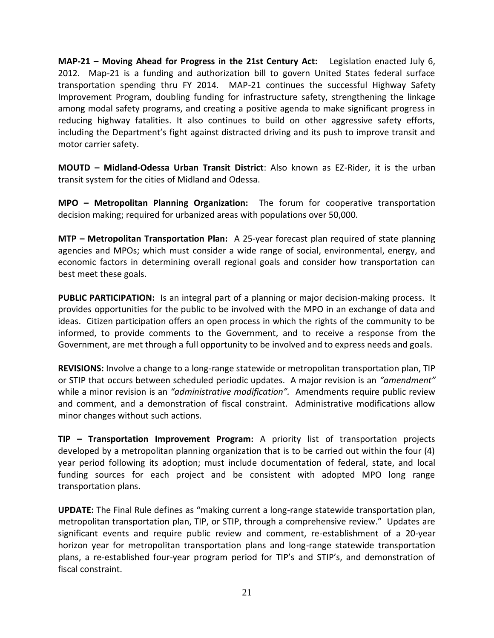**MAP-21 – Moving Ahead for Progress in the 21st Century Act:** Legislation enacted July 6, 2012. Map-21 is a funding and authorization bill to govern United States federal surface transportation spending thru FY 2014. MAP-21 continues the successful Highway Safety Improvement Program, doubling funding for infrastructure safety, strengthening the linkage among modal safety programs, and creating a positive agenda to make significant progress in reducing highway fatalities. It also continues to build on other aggressive safety efforts, including the Department's fight against distracted driving and its push to improve transit and motor carrier safety.

**MOUTD – Midland-Odessa Urban Transit District**: Also known as EZ-Rider, it is the urban transit system for the cities of Midland and Odessa.

**MPO – Metropolitan Planning Organization:** The forum for cooperative transportation decision making; required for urbanized areas with populations over 50,000.

**MTP – Metropolitan Transportation Plan:** A 25-year forecast plan required of state planning agencies and MPOs; which must consider a wide range of social, environmental, energy, and economic factors in determining overall regional goals and consider how transportation can best meet these goals.

**PUBLIC PARTICIPATION:** Is an integral part of a planning or major decision-making process. It provides opportunities for the public to be involved with the MPO in an exchange of data and ideas. Citizen participation offers an open process in which the rights of the community to be informed, to provide comments to the Government, and to receive a response from the Government, are met through a full opportunity to be involved and to express needs and goals.

**REVISIONS:** Involve a change to a long-range statewide or metropolitan transportation plan, TIP or STIP that occurs between scheduled periodic updates. A major revision is an *"amendment"* while a minor revision is an *"administrative modification".* Amendments require public review and comment, and a demonstration of fiscal constraint. Administrative modifications allow minor changes without such actions.

**TIP – Transportation Improvement Program:** A priority list of transportation projects developed by a metropolitan planning organization that is to be carried out within the four (4) year period following its adoption; must include documentation of federal, state, and local funding sources for each project and be consistent with adopted MPO long range transportation plans.

**UPDATE:** The Final Rule defines as "making current a long-range statewide transportation plan, metropolitan transportation plan, TIP, or STIP, through a comprehensive review." Updates are significant events and require public review and comment, re-establishment of a 20-year horizon year for metropolitan transportation plans and long-range statewide transportation plans, a re-established four-year program period for TIP's and STIP's, and demonstration of fiscal constraint.